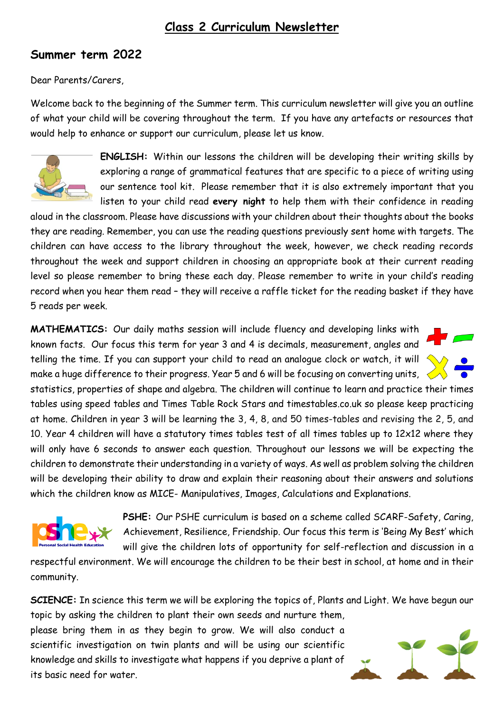## **Class 2 Curriculum Newsletter**

## **Summer term 2022**

Dear Parents/Carers,

Welcome back to the beginning of the Summer term. This curriculum newsletter will give you an outline of what your child will be covering throughout the term. If you have any artefacts or resources that would help to enhance or support our curriculum, please let us know.



**ENGLISH:** Within our lessons the children will be developing their writing skills by exploring a range of grammatical features that are specific to a piece of writing using our sentence tool kit. Please remember that it is also extremely important that you listen to your child read **every night** to help them with their confidence in reading

aloud in the classroom. Please have discussions with your children about their thoughts about the books they are reading. Remember, you can use the reading questions previously sent home with targets. The children can have access to the library throughout the week, however, we check reading records throughout the week and support children in choosing an appropriate book at their current reading level so please remember to bring these each day. Please remember to write in your child's reading record when you hear them read – they will receive a raffle ticket for the reading basket if they have 5 reads per week.

**MATHEMATICS:** Our daily maths session will include fluency and developing links with known facts. Our focus this term for year 3 and 4 is decimals, measurement, angles and telling the time. If you can support your child to read an analogue clock or watch, it will make a huge difference to their progress. Year 5 and 6 will be focusing on converting units,  $\leq$ 

statistics, properties of shape and algebra. The children will continue to learn and practice their times tables using speed tables and Times Table Rock Stars and timestables.co.uk so please keep practicing at home. Children in year 3 will be learning the 3, 4, 8, and 50 times-tables and revising the 2, 5, and 10. Year 4 children will have a statutory times tables test of all times tables up to 12x12 where they will only have 6 seconds to answer each question. Throughout our lessons we will be expecting the children to demonstrate their understanding in a variety of ways. As well as problem solving the children will be developing their ability to draw and explain their reasoning about their answers and solutions which the children know as MICE- Manipulatives, Images, Calculations and Explanations.



**PSHE:** Our PSHE curriculum is based on a scheme called SCARF-Safety, Caring, Achievement, Resilience, Friendship. Our focus this term is 'Being My Best' which will give the children lots of opportunity for self-reflection and discussion in a

respectful environment. We will encourage the children to be their best in school, at home and in their community.

**SCIENCE:** In science this term we will be exploring the topics of, Plants and Light. We have begun our topic by asking the children to plant their own seeds and nurture them,

please bring them in as they begin to grow. We will also conduct a scientific investigation on twin plants and will be using our scientific knowledge and skills to investigate what happens if you deprive a plant of its basic need for water.